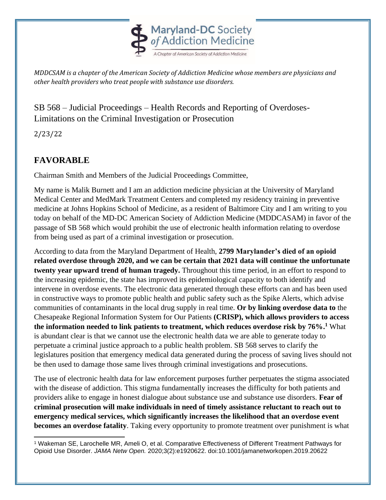

*MDDCSAM is a chapter of the American Society of Addiction Medicine whose members are physicians and other health providers who treat people with substance use disorders.* 

## SB 568 – Judicial Proceedings – Health Records and Reporting of Overdoses-Limitations on the Criminal Investigation or Prosecution

2/23/22

## **FAVORABLE**

Chairman Smith and Members of the Judicial Proceedings Committee,

My name is Malik Burnett and I am an addiction medicine physician at the University of Maryland Medical Center and MedMark Treatment Centers and completed my residency training in preventive medicine at Johns Hopkins School of Medicine, as a resident of Baltimore City and I am writing to you today on behalf of the MD-DC American Society of Addiction Medicine (MDDCASAM) in favor of the passage of SB 568 which would prohibit the use of electronic health information relating to overdose from being used as part of a criminal investigation or prosecution.

According to data from the Maryland Department of Health, **2799 Marylander's died of an opioid related overdose through 2020, and we can be certain that 2021 data will continue the unfortunate twenty year upward trend of human tragedy.** Throughout this time period, in an effort to respond to the increasing epidemic, the state has improved its epidemiological capacity to both identify and intervene in overdose events. The electronic data generated through these efforts can and has been used in constructive ways to promote public health and public safety such as the Spike Alerts, which advise communities of contaminants in the local drug supply in real time. **Or by linking overdose data to** the Chesapeake Regional Information System for Our Patients **(CRISP), which allows providers to access the information needed to link patients to treatment, which reduces overdose risk by 76%. <sup>1</sup>** What is abundant clear is that we cannot use the electronic health data we are able to generate today to perpetuate a criminal justice approach to a public health problem. SB 568 serves to clarify the legislatures position that emergency medical data generated during the process of saving lives should not be then used to damage those same lives through criminal investigations and prosecutions.

The use of electronic health data for law enforcement purposes further perpetuates the stigma associated with the disease of addiction. This stigma fundamentally increases the difficulty for both patients and providers alike to engage in honest dialogue about substance use and substance use disorders. **Fear of criminal prosecution will make individuals in need of timely assistance reluctant to reach out to emergency medical services, which significantly increases the likelihood that an overdose event becomes an overdose fatality**. Taking every opportunity to promote treatment over punishment is what

<sup>1</sup> Wakeman SE, Larochelle MR, Ameli O, et al. Comparative Effectiveness of Different Treatment Pathways for Opioid Use Disorder. *JAMA Netw Open.* 2020;3(2):e1920622. doi:10.1001/jamanetworkopen.2019.20622